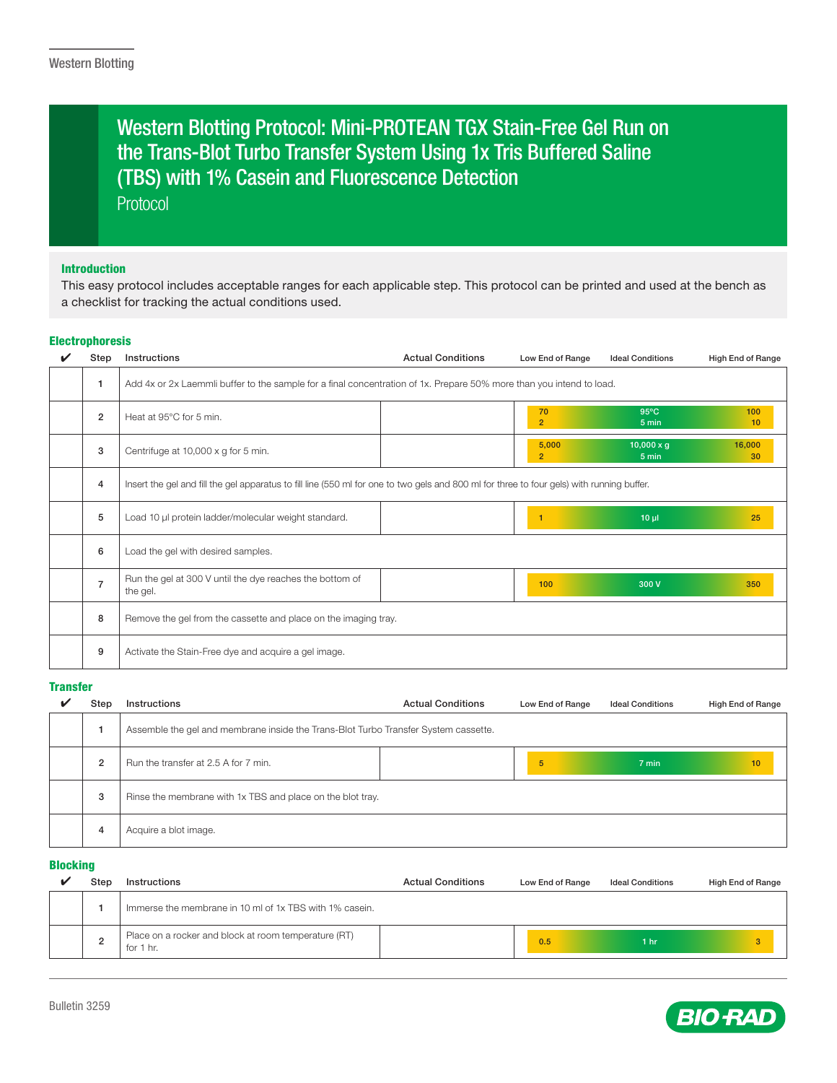# Protocol Western Blotting Protocol: Mini-PROTEAN TGX Stain-Free Gel Run on the Trans-Blot Turbo Transfer System Using 1x Tris Buffered Saline (TBS) with 1% Casein and Fluorescence Detection

## Introduction

This easy protocol includes acceptable ranges for each applicable step. This protocol can be printed and used at the bench as a checklist for tracking the actual conditions used.

## Electrophoresis

| Step           | Instructions                                                                                                                               | <b>Actual Conditions</b> | Low End of Range        | <b>Ideal Conditions</b>    | High End of Range      |
|----------------|--------------------------------------------------------------------------------------------------------------------------------------------|--------------------------|-------------------------|----------------------------|------------------------|
|                | Add 4x or 2x Laemmli buffer to the sample for a final concentration of 1x. Prepare 50% more than you intend to load.                       |                          |                         |                            |                        |
| $\overline{2}$ | Heat at 95°C for 5 min.                                                                                                                    |                          | 70<br>$\overline{2}$    | $95^{\circ}$ C<br>5 min    | 100<br>10 <sub>1</sub> |
| 3              | Centrifuge at 10,000 x g for 5 min.                                                                                                        |                          | 5,000<br>$\overline{2}$ | $10,000 \times g$<br>5 min | 16,000<br>30           |
| 4              | Insert the gel and fill the gel apparatus to fill line (550 ml for one to two gels and 800 ml for three to four gels) with running buffer. |                          |                         |                            |                        |
| 5              | Load 10 µl protein ladder/molecular weight standard.                                                                                       |                          |                         | $10 \mu$                   | 25                     |
| 6              | Load the gel with desired samples.                                                                                                         |                          |                         |                            |                        |
| $\overline{7}$ | Run the gel at 300 V until the dye reaches the bottom of<br>the gel.                                                                       |                          | 100                     | 300 V                      | 350                    |
| 8              | Remove the gel from the cassette and place on the imaging tray.                                                                            |                          |                         |                            |                        |
| 9              | Activate the Stain-Free dye and acquire a gel image.                                                                                       |                          |                         |                            |                        |

## **Transfer**

| Step           | Instructions                                                                        | <b>Actual Conditions</b> | Low End of Range | <b>Ideal Conditions</b> | High End of Range |
|----------------|-------------------------------------------------------------------------------------|--------------------------|------------------|-------------------------|-------------------|
|                | Assemble the gel and membrane inside the Trans-Blot Turbo Transfer System cassette. |                          |                  |                         |                   |
| $\overline{2}$ | Run the transfer at 2.5 A for 7 min.                                                |                          | 5                | 7 min                   | 10                |
| 3              | Rinse the membrane with 1x TBS and place on the blot tray.                          |                          |                  |                         |                   |
| 4              | Acquire a blot image.                                                               |                          |                  |                         |                   |

### Blocking

| Step | Instructions                                                      | <b>Actual Conditions</b> | Low End of Range | <b>Ideal Conditions</b> | High End of Range |
|------|-------------------------------------------------------------------|--------------------------|------------------|-------------------------|-------------------|
|      | Immerse the membrane in 10 ml of 1x TBS with 1% casein.           |                          |                  |                         |                   |
| ۷    | Place on a rocker and block at room temperature (RT)<br>for 1 hr. |                          | 0.5              | 1 <sub>hr</sub>         |                   |